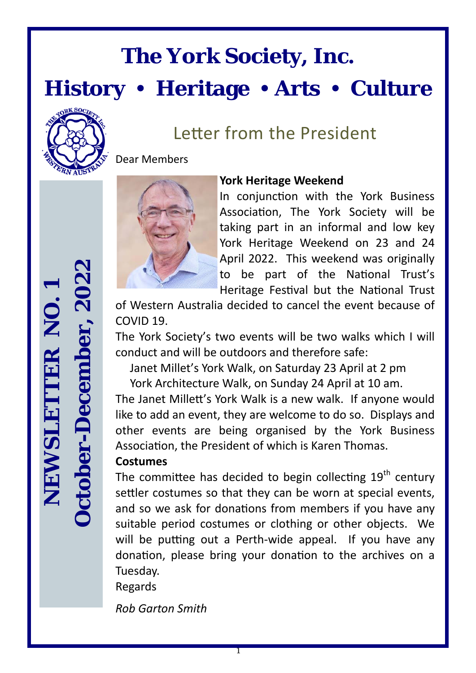# **The York Society, Inc.**

**History Heritage Arts Culture** 



### Letter from the President

Dear Members



#### **York Heritage Weekend**

In conjunction with the York Business Association, The York Society will be taking part in an informal and low key York Heritage Weekend on 23 and 24 April 2022. This weekend was originally to be part of the National Trust's Heritage Festival but the National Trust

of Western Australia decided to cancel the event because of COVID 19.

The York Society's two events will be two walks which I will conduct and will be outdoors and therefore safe:

Janet Millet's York Walk, on Saturday 23 April at 2 pm

York Architecture Walk, on Sunday 24 April at 10 am.

The Janet Millett's York Walk is a new walk. If anyone would like to add an event, they are welcome to do so. Displays and other events are being organised by the York Business Association, the President of which is Karen Thomas.

#### **Costumes**

The committee has decided to begin collecting  $19<sup>th</sup>$  century settler costumes so that they can be worn at special events, and so we ask for donations from members if you have any suitable period costumes or clothing or other objects. We will be putting out a Perth-wide appeal. If you have any donation, please bring your donation to the archives on a Tuesday.

Regards

*Rob Garton Smith*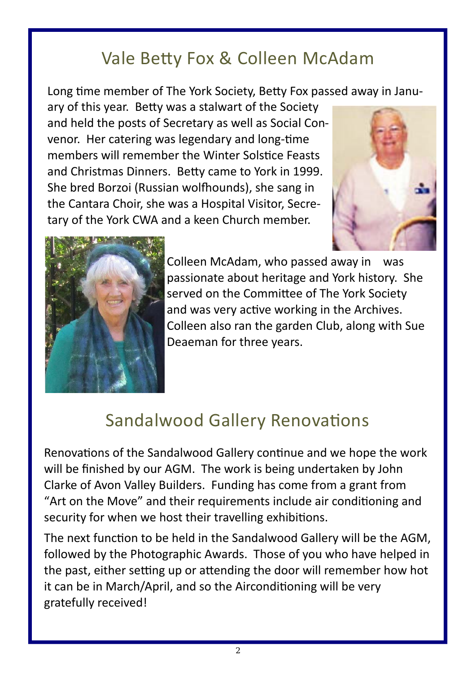### Vale Betty Fox & Colleen McAdam

Long time member of The York Society, Betty Fox passed away in Janu-

ary of this year. BeƩy was a stalwart of the Society and held the posts of Secretary as well as Social Con‐ venor. Her catering was legendary and long-time members will remember the Winter Solstice Feasts and Christmas Dinners. Betty came to York in 1999. She bred Borzoi (Russian wolfhounds), she sang in the Cantara Choir, she was a Hospital Visitor, Secre‐ tary of the York CWA and a keen Church member.





Colleen McAdam, who passed away in was passionate about heritage and York history. She served on the Committee of The York Society and was very active working in the Archives. Colleen also ran the garden Club, along with Sue Deaeman for three years.

### Sandalwood Gallery Renovations

Renovations of the Sandalwood Gallery continue and we hope the work will be finished by our AGM. The work is being undertaken by John Clarke of Avon Valley Builders. Funding has come from a grant from "Art on the Move" and their requirements include air conditioning and security for when we host their travelling exhibitions.

The next function to be held in the Sandalwood Gallery will be the AGM, followed by the Photographic Awards. Those of you who have helped in the past, either setting up or attending the door will remember how hot it can be in March/April, and so the Airconditioning will be very gratefully received!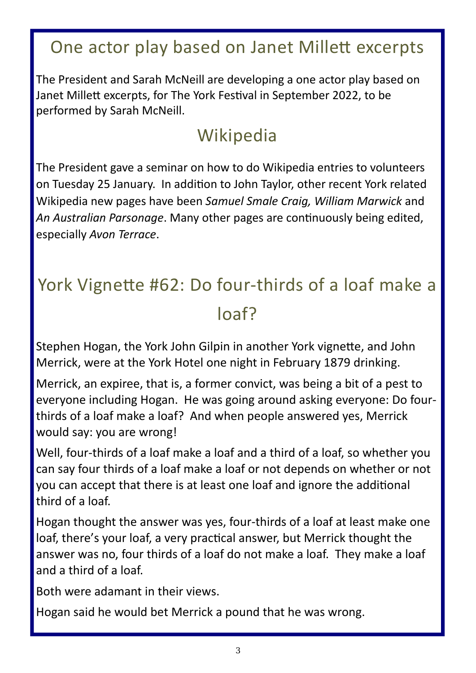### One actor play based on Janet Millett excerpts

The President and Sarah McNeill are developing a one actor play based on Janet Millett excerpts, for The York Festival in September 2022, to be performed by Sarah McNeill.

### Wikipedia

The President gave a seminar on how to do Wikipedia entries to volunteers on Tuesday 25 January. In addition to John Taylor, other recent York related Wikipedia new pages have been *Samuel Smale Craig, William Marwick* and An Australian Parsonage. Many other pages are continuously being edited, especially *Avon Terrace*.

## York Vignette #62: Do four-thirds of a loaf make a loaf?

Stephen Hogan, the York John Gilpin in another York vignette, and John Merrick, were at the York Hotel one night in February 1879 drinking.

Merrick, an expiree, that is, a former convict, was being a bit of a pest to everyone including Hogan. He was going around asking everyone: Do four‐ thirds of a loaf make a loaf? And when people answered yes, Merrick would say: you are wrong!

Well, four-thirds of a loaf make a loaf and a third of a loaf, so whether you can say four thirds of a loaf make a loaf or not depends on whether or not you can accept that there is at least one loaf and ignore the additional third of a loaf.

Hogan thought the answer was yes, four-thirds of a loaf at least make one loaf, there's your loaf, a very practical answer, but Merrick thought the answer was no, four thirds of a loaf do not make a loaf. They make a loaf and a third of a loaf.

Both were adamant in their views.

Hogan said he would bet Merrick a pound that he was wrong.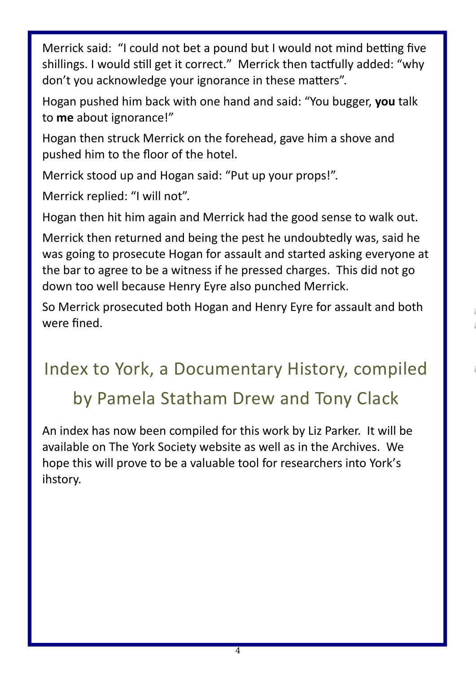Merrick said: "I could not bet a pound but I would not mind betting five shillings. I would still get it correct." Merrick then tactfully added: "why don't you acknowledge your ignorance in these matters".

Hogan pushed him back with one hand and said: "You bugger, **you** talk to **me** about ignorance!"

Hogan then struck Merrick on the forehead, gave him a shove and pushed him to the floor of the hotel.

Merrick stood up and Hogan said: "Put up your props!".

Merrick replied: "I will not".

Hogan then hit him again and Merrick had the good sense to walk out.

Merrick then returned and being the pest he undoubtedly was, said he was going to prosecute Hogan for assault and started asking everyone at the bar to agree to be a witness if he pressed charges. This did not go down too well because Henry Eyre also punched Merrick.

So Merrick prosecuted both Hogan and Henry Eyre for assault and both were fined.

# Index to York, a Documentary History, compiled by Pamela Statham Drew and Tony Clack

An index has now been compiled for this work by Liz Parker. It will be available on The York Society website as well as in the Archives. We hope this will prove to be a valuable tool for researchers into York's ihstory.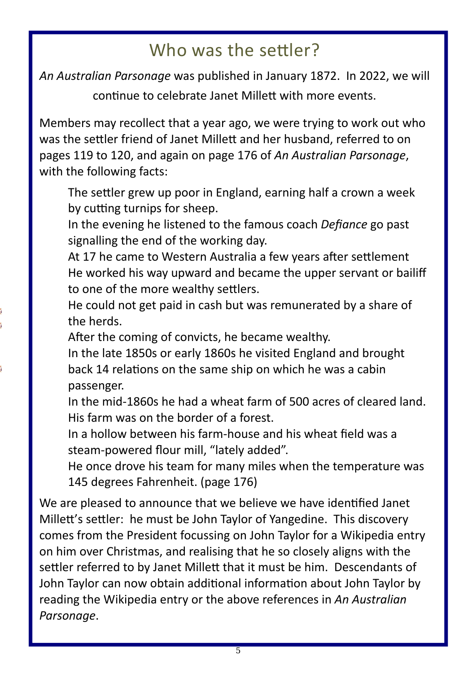### Who was the settler?

*An Australian Parsonage* was published in January 1872. In 2022, we will

continue to celebrate Janet Millett with more events.

Members may recollect that a year ago, we were trying to work out who was the settler friend of Janet Millett and her husband, referred to on pages 119 to 120, and again on page 176 of *An Australian Parsonage*, with the following facts:

The settler grew up poor in England, earning half a crown a week by cutting turnips for sheep.

In the evening he listened to the famous coach *Defiance* go past signalling the end of the working day.

At 17 he came to Western Australia a few years after settlement He worked his way upward and became the upper servant or bailiff to one of the more wealthy settlers.

He could not get paid in cash but was remunerated by a share of the herds.

After the coming of convicts, he became wealthy.

In the late 1850s or early 1860s he visited England and brought back 14 relations on the same ship on which he was a cabin passenger.

In the mid‐1860s he had a wheat farm of 500 acres of cleared land. His farm was on the border of a forest.

In a hollow between his farm‐house and his wheat field was a steam‐powered flour mill, "lately added".

He once drove his team for many miles when the temperature was 145 degrees Fahrenheit. (page 176)

We are pleased to announce that we believe we have identified Janet Millett's settler: he must be John Taylor of Yangedine. This discovery comes from the President focussing on John Taylor for a Wikipedia entry on him over Christmas, and realising that he so closely aligns with the settler referred to by Janet Millett that it must be him. Descendants of John Taylor can now obtain additional information about John Taylor by reading the Wikipedia entry or the above references in *An Australian Parsonage*.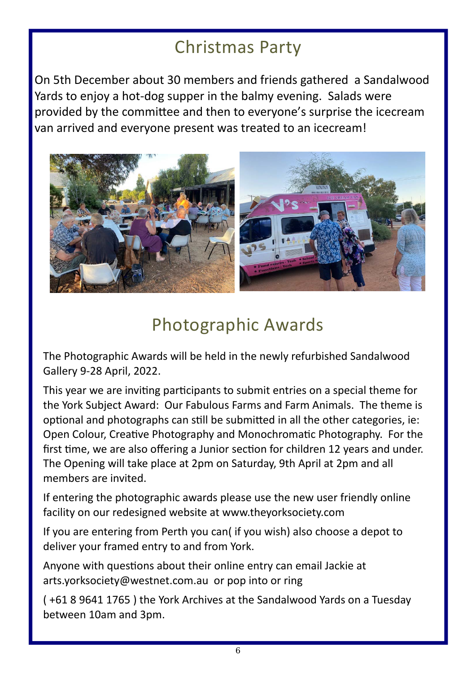### Christmas Party

On 5th December about 30 members and friends gathered a Sandalwood Yards to enjoy a hot‐dog supper in the balmy evening. Salads were provided by the committee and then to everyone's surprise the icecream van arrived and everyone present was treated to an icecream!



### Photographic Awards

The Photographic Awards will be held in the newly refurbished Sandalwood Gallery 9‐28 April, 2022.

This year we are inviting participants to submit entries on a special theme for the York Subject Award: Our Fabulous Farms and Farm Animals. The theme is optional and photographs can still be submitted in all the other categories, ie: Open Colour, Creative Photography and Monochromatic Photography. For the first time, we are also offering a Junior section for children 12 years and under. The Opening will take place at 2pm on Saturday, 9th April at 2pm and all members are invited.

If entering the photographic awards please use the new user friendly online facility on our redesigned website at www.theyorksociety.com

If you are entering from Perth you can( if you wish) also choose a depot to deliver your framed entry to and from York.

Anyone with questions about their online entry can email Jackie at arts.yorksociety@westnet.com.au or pop into or ring

( +61 8 9641 1765 ) the York Archives at the Sandalwood Yards on a Tuesday between 10am and 3pm.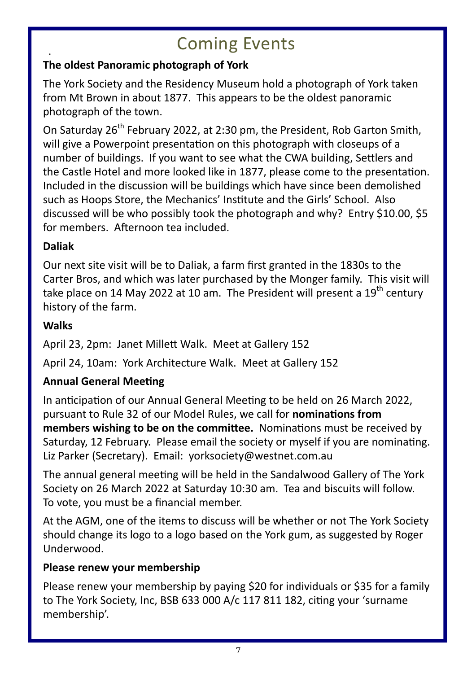### . Coming Events

#### **The oldest Panoramic photograph of York**

The York Society and the Residency Museum hold a photograph of York taken from Mt Brown in about 1877. This appears to be the oldest panoramic photograph of the town.

On Saturday 26<sup>th</sup> February 2022, at 2:30 pm, the President, Rob Garton Smith, will give a Powerpoint presentation on this photograph with closeups of a number of buildings. If you want to see what the CWA building, Settlers and the Castle Hotel and more looked like in 1877, please come to the presentation. Included in the discussion will be buildings which have since been demolished such as Hoops Store, the Mechanics' Institute and the Girls' School. Also discussed will be who possibly took the photograph and why? Entry \$10.00, \$5 for members. Afternoon tea included.

#### **Daliak**

Our next site visit will be to Daliak, a farm first granted in the 1830s to the Carter Bros, and which was later purchased by the Monger family. This visit will take place on 14 May 2022 at 10 am. The President will present a  $19<sup>th</sup>$  century history of the farm.

#### **Walks**

April 23, 2pm: Janet Millett Walk. Meet at Gallery 152

April 24, 10am: York Architecture Walk. Meet at Gallery 152

#### **Annual General Meeting**

In anticipation of our Annual General Meeting to be held on 26 March 2022, pursuant to Rule 32 of our Model Rules, we call for **nominaƟons from members wishing to be on the committee.** Nominations must be received by Saturday, 12 February. Please email the society or myself if you are nominating. Liz Parker (Secretary). Email: yorksociety@westnet.com.au

The annual general meeting will be held in the Sandalwood Gallery of The York Society on 26 March 2022 at Saturday 10:30 am. Tea and biscuits will follow. To vote, you must be a financial member.

At the AGM, one of the items to discuss will be whether or not The York Society should change its logo to a logo based on the York gum, as suggested by Roger Underwood.

#### **Please renew your membership**

Please renew your membership by paying \$20 for individuals or \$35 for a family to The York Society, Inc, BSB 633 000 A/c 117 811 182, citing your 'surname membership'.